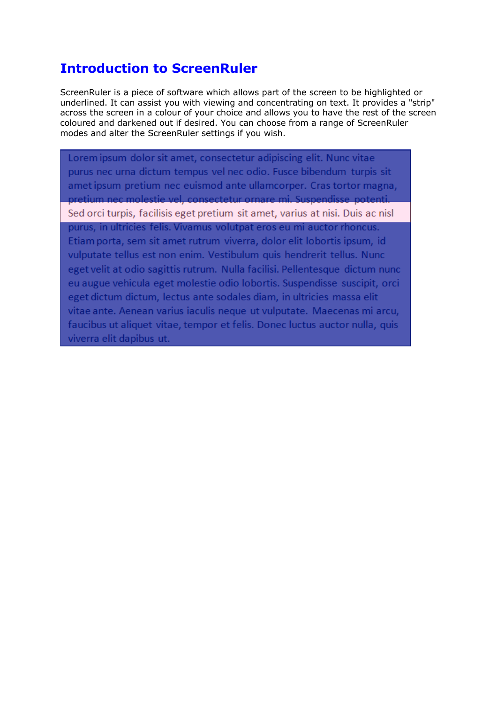## **Introduction to ScreenRuler**

ScreenRuler is a piece of software which allows part of the screen to be highlighted or underlined. It can assist you with viewing and concentrating on text. It provides a "strip" across the screen in a colour of your choice and allows you to have the rest of the screen coloured and darkened out if desired. You can choose from a range of ScreenRuler modes and alter the ScreenRuler settings if you wish.

Lorem ipsum dolor sit amet, consectetur adipiscing elit. Nunc vitae purus nec urna dictum tempus vel nec odio. Fusce bibendum turpis sit amet ipsum pretium nec euismod ante ullamcorper. Cras tortor magna, pretium nec molestie vel, consectetur ornare mi. Suspendisse potenti. Sed orci turpis, facilisis eget pretium sit amet, varius at nisi. Duis ac nisl purus, in ultricies felis. Vivamus volutpat eros eu mi auctor rhoncus. Etiam porta, sem sit amet rutrum viverra, dolor elit lobortis ipsum, id vulputate tellus est non enim. Vestibulum quis hendrerit tellus. Nunc eget velit at odio sagittis rutrum. Nulla facilisi. Pellentesque dictum nunc eu augue vehicula eget molestie odio lobortis. Suspendisse suscipit, orci eget dictum dictum, lectus ante sodales diam, in ultricies massa elit vitae ante. Aenean varius iaculis neque ut vulputate. Maecenas mi arcu, faucibus ut aliquet vitae, tempor et felis. Donec luctus auctor nulla, quis viverra elit dapibus ut.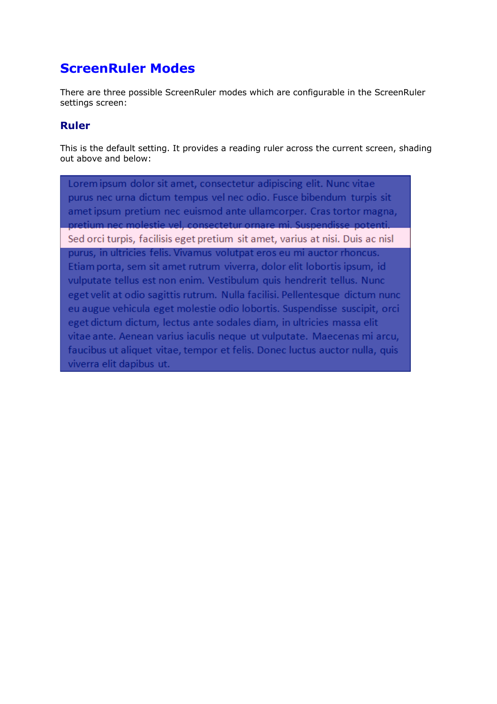## **ScreenRuler Modes**

There are three possible ScreenRuler modes which are configurable in the ScreenRuler settings screen:

#### **Ruler**

This is the default setting. It provides a reading ruler across the current screen, shading out above and below:

Lorem ipsum dolor sit amet, consectetur adipiscing elit. Nunc vitae purus nec urna dictum tempus vel nec odio. Fusce bibendum turpis sit amet ipsum pretium nec euismod ante ullamcorper. Cras tortor magna, pretium nec molestie vel, consectetur ornare mi. Suspendisse potenti. Sed orci turpis, facilisis eget pretium sit amet, varius at nisi. Duis ac nisl purus, in ultricies felis. Vivamus volutpat eros eu mi auctor rhoncus. Etiam porta, sem sit amet rutrum viverra, dolor elit lobortis ipsum, id vulputate tellus est non enim. Vestibulum quis hendrerit tellus. Nunc eget velit at odio sagittis rutrum. Nulla facilisi. Pellentesque dictum nunc eu augue vehicula eget molestie odio lobortis. Suspendisse suscipit, orci eget dictum dictum, lectus ante sodales diam, in ultricies massa elit vitae ante. Aenean varius iaculis neque ut vulputate. Maecenas mi arcu, faucibus ut aliquet vitae, tempor et felis. Donec luctus auctor nulla, quis viverra elit dapibus ut.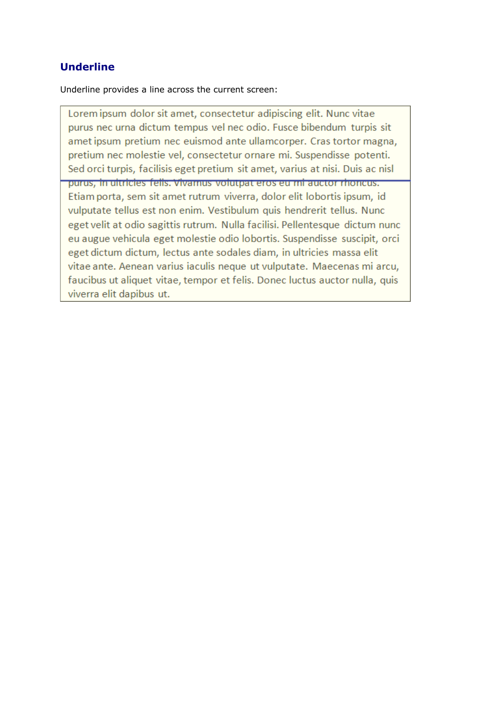### **Underline**

Underline provides a line across the current screen:

Lorem ipsum dolor sit amet, consectetur adipiscing elit. Nunc vitae purus nec urna dictum tempus vel nec odio. Fusce bibendum turpis sit amet ipsum pretium nec euismod ante ullamcorper. Cras tortor magna, pretium nec molestie vel, consectetur ornare mi. Suspendisse potenti. Sed orci turpis, facilisis eget pretium sit amet, varius at nisi. Duis ac nisl purus, in ultricies fells. Vivamus volutpat eros eu mi auctor rhoncus. Etiam porta, sem sit amet rutrum viverra, dolor elit lobortis ipsum, id vulputate tellus est non enim. Vestibulum quis hendrerit tellus. Nunc eget velit at odio sagittis rutrum. Nulla facilisi. Pellentesque dictum nunc eu augue vehicula eget molestie odio lobortis. Suspendisse suscipit, orci eget dictum dictum, lectus ante sodales diam, in ultricies massa elit vitae ante. Aenean varius iaculis neque ut vulputate. Maecenas mi arcu, faucibus ut aliquet vitae, tempor et felis. Donec luctus auctor nulla, quis viverra elit dapibus ut.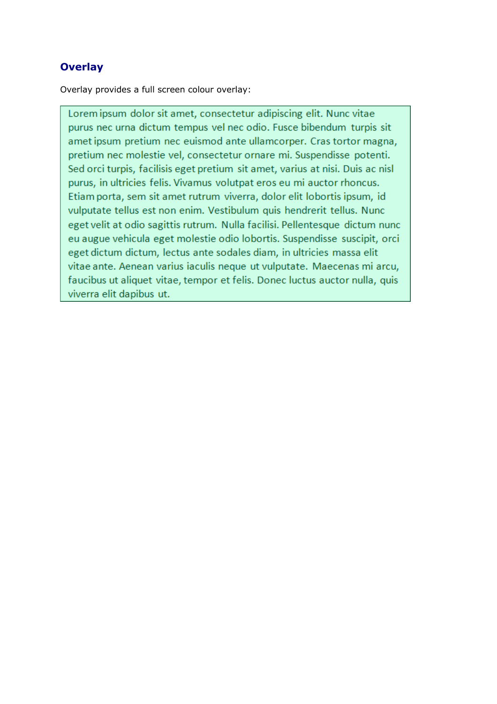### **Overlay**

Overlay provides a full screen colour overlay:

Lorem ipsum dolor sit amet, consectetur adipiscing elit. Nunc vitae purus nec urna dictum tempus vel nec odio. Fusce bibendum turpis sit amet ipsum pretium nec euismod ante ullamcorper. Cras tortor magna, pretium nec molestie vel, consectetur ornare mi. Suspendisse potenti. Sed orci turpis, facilisis eget pretium sit amet, varius at nisi. Duis ac nisl purus, in ultricies felis. Vivamus volutpat eros eu mi auctor rhoncus. Etiam porta, sem sit amet rutrum viverra, dolor elit lobortis ipsum, id vulputate tellus est non enim. Vestibulum quis hendrerit tellus. Nunc eget velit at odio sagittis rutrum. Nulla facilisi. Pellentesque dictum nunc eu augue vehicula eget molestie odio lobortis. Suspendisse suscipit, orci eget dictum dictum, lectus ante sodales diam, in ultricies massa elit vitae ante. Aenean varius iaculis neque ut vulputate. Maecenas mi arcu, faucibus ut aliquet vitae, tempor et felis. Donec luctus auctor nulla, quis viverra elit dapibus ut.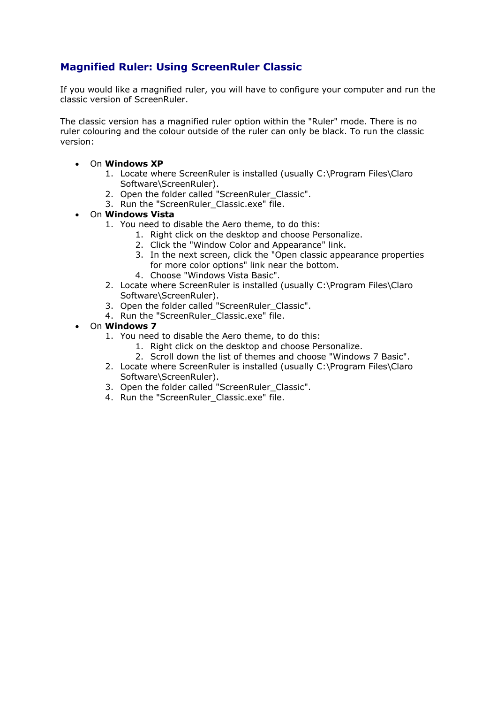### **Magnified Ruler: Using ScreenRuler Classic**

If you would like a magnified ruler, you will have to configure your computer and run the classic version of ScreenRuler.

The classic version has a magnified ruler option within the "Ruler" mode. There is no ruler colouring and the colour outside of the ruler can only be black. To run the classic version:

- On **Windows XP**
	- 1. Locate where ScreenRuler is installed (usually C:\Program Files\Claro Software\ScreenRuler).
	- 2. Open the folder called "ScreenRuler\_Classic".
	- 3. Run the "ScreenRuler\_Classic.exe" file.

#### • On **Windows Vista**

- 1. You need to disable the Aero theme, to do this:
	- 1. Right click on the desktop and choose Personalize.
	- 2. Click the "Window Color and Appearance" link.
	- 3. In the next screen, click the "Open classic appearance properties for more color options" link near the bottom.
	- 4. Choose "Windows Vista Basic".
- 2. Locate where ScreenRuler is installed (usually C:\Program Files\Claro Software\ScreenRuler).
- 3. Open the folder called "ScreenRuler\_Classic".
- 4. Run the "ScreenRuler Classic.exe" file.
- On **Windows 7**
	- 1. You need to disable the Aero theme, to do this:
		- 1. Right click on the desktop and choose Personalize.
		- 2. Scroll down the list of themes and choose "Windows 7 Basic".
	- 2. Locate where ScreenRuler is installed (usually C:\Program Files\Claro Software\ScreenRuler).
	- 3. Open the folder called "ScreenRuler\_Classic".
	- 4. Run the "ScreenRuler\_Classic.exe" file.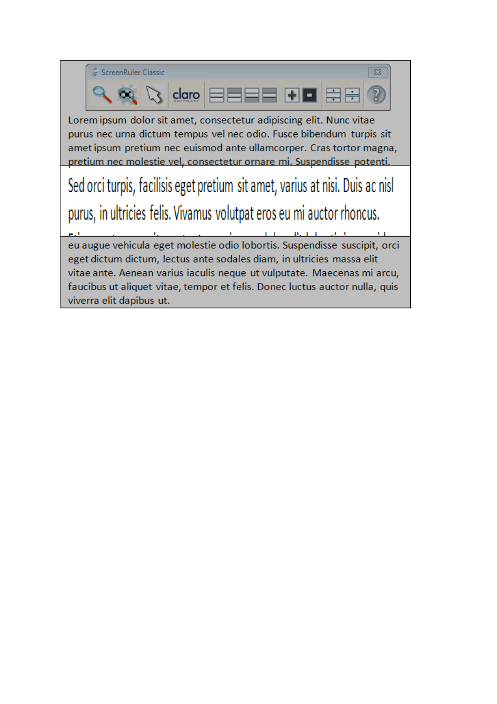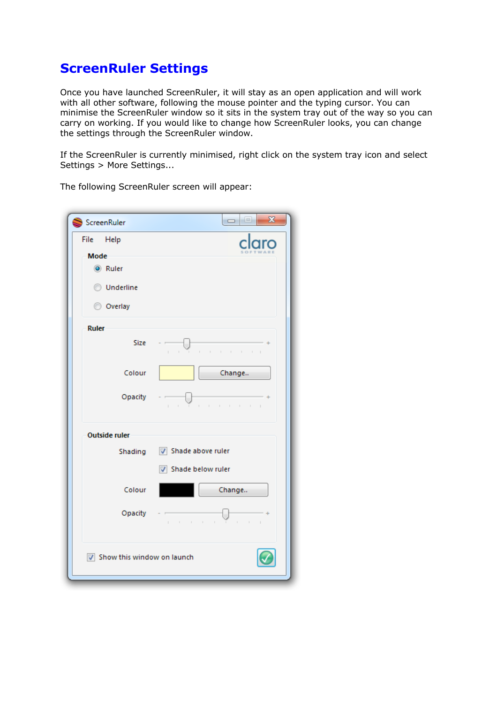## **ScreenRuler Settings**

Once you have launched ScreenRuler, it will stay as an open application and will work with all other software, following the mouse pointer and the typing cursor. You can minimise the ScreenRuler window so it sits in the system tray out of the way so you can carry on working. If you would like to change how ScreenRuler looks, you can change the settings through the ScreenRuler window.

If the ScreenRuler is currently minimised, right click on the system tray icon and select Settings > More Settings...

| ScreenRuler                | x<br>$\begin{array}{c c c c c} \hline \multicolumn{1}{ c }{0} & \multicolumn{1}{ c }{0} \end{array}$ |
|----------------------------|------------------------------------------------------------------------------------------------------|
| File Help                  |                                                                                                      |
| <b>Mode</b>                |                                                                                                      |
| C Ruler                    |                                                                                                      |
| <b>O</b> Underline         |                                                                                                      |
| © Overlay                  |                                                                                                      |
|                            |                                                                                                      |
| <b>Ruler</b>               |                                                                                                      |
| <b>Size</b>                | the contract of the contract of<br>$\sim 10^{-1}$<br>$\mathbb{R}^n$                                  |
| Colour                     | Change                                                                                               |
|                            |                                                                                                      |
| Opacity                    | the transfer of the training<br>$1 - 1$                                                              |
| <b>Outside ruler</b>       |                                                                                                      |
| Shading                    | Shade above ruler                                                                                    |
|                            | Shade below ruler                                                                                    |
| Colour                     | Change                                                                                               |
| Opacity                    | .                                                                                                    |
| Show this window on launch |                                                                                                      |

The following ScreenRuler screen will appear: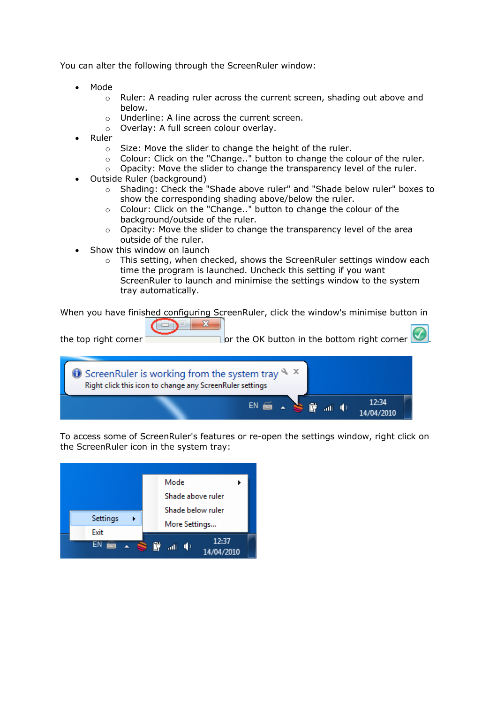You can alter the following through the ScreenRuler window:

- Mode
	- o Ruler: A reading ruler across the current screen, shading out above and below.
	- o Underline: A line across the current screen.
	- o Overlay: A full screen colour overlay.
- Ruler
	- o Size: Move the slider to change the height of the ruler.
	- o Colour: Click on the "Change.." button to change the colour of the ruler.
	- o Opacity: Move the slider to change the transparency level of the ruler.
- Outside Ruler (background)
	- o Shading: Check the "Shade above ruler" and "Shade below ruler" boxes to show the corresponding shading above/below the ruler.
	- o Colour: Click on the "Change.." button to change the colour of the background/outside of the ruler.
	- o Opacity: Move the slider to change the transparency level of the area outside of the ruler.
- Show this window on launch
	- $\circ$  This setting, when checked, shows the ScreenRuler settings window each time the program is launched. Uncheck this setting if you want ScreenRuler to launch and minimise the settings window to the system tray automatically.

When you have finished configuring ScreenRuler, click the window's minimise button in

| the top right corner                                                                                                                    | or the OK button in the bottom right corner |
|-----------------------------------------------------------------------------------------------------------------------------------------|---------------------------------------------|
| $\bullet$ Screen Ruler is working from the system tray $\rightarrow \times$<br>Right click this icon to change any ScreenRuler settings |                                             |
| é                                                                                                                                       | 12:34                                       |

To access some of ScreenRuler's features or re-open the settings window, right click on the ScreenRuler icon in the system tray: